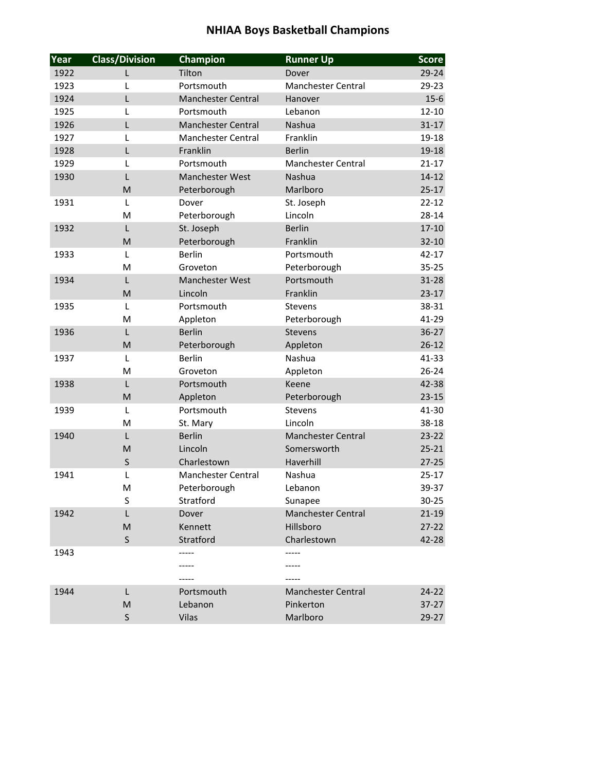| Year | <b>Class/Division</b> | Champion                  | <b>Runner Up</b>          | <b>Score</b> |
|------|-----------------------|---------------------------|---------------------------|--------------|
| 1922 | L                     | Tilton                    | Dover                     | 29-24        |
| 1923 | L                     | Portsmouth                | <b>Manchester Central</b> | 29-23        |
| 1924 | L                     | <b>Manchester Central</b> | Hanover                   | $15 - 6$     |
| 1925 | L                     | Portsmouth                | Lebanon                   | $12 - 10$    |
| 1926 | L                     | <b>Manchester Central</b> | Nashua                    | $31 - 17$    |
| 1927 | L                     | <b>Manchester Central</b> | Franklin                  | 19-18        |
| 1928 | L                     | Franklin                  | <b>Berlin</b>             | 19-18        |
| 1929 | L                     | Portsmouth                | Manchester Central        | $21 - 17$    |
| 1930 | L                     | <b>Manchester West</b>    | Nashua                    | $14 - 12$    |
|      | M                     | Peterborough              | Marlboro                  | $25 - 17$    |
| 1931 | L                     | Dover                     | St. Joseph                | $22 - 12$    |
|      | M                     | Peterborough              | Lincoln                   | $28 - 14$    |
| 1932 | L                     | St. Joseph                | <b>Berlin</b>             | $17 - 10$    |
|      | M                     | Peterborough              | Franklin                  | $32 - 10$    |
| 1933 | L                     | <b>Berlin</b>             | Portsmouth                | $42 - 17$    |
|      | M                     | Groveton                  | Peterborough              | $35 - 25$    |
| 1934 | L                     | Manchester West           | Portsmouth                | $31 - 28$    |
|      | M                     | Lincoln                   | Franklin                  | $23 - 17$    |
| 1935 | $\mathsf{L}$          | Portsmouth                | <b>Stevens</b>            | 38-31        |
|      | M                     | Appleton                  | Peterborough              | 41-29        |
| 1936 | L                     | <b>Berlin</b>             | <b>Stevens</b>            | $36 - 27$    |
|      | M                     | Peterborough              | Appleton                  | $26 - 12$    |
| 1937 | L                     | <b>Berlin</b>             | Nashua                    | $41 - 33$    |
|      | M                     | Groveton                  | Appleton                  | $26 - 24$    |
| 1938 | L                     | Portsmouth                | Keene                     | 42-38        |
|      | M                     | Appleton                  | Peterborough              | $23 - 15$    |
| 1939 | L                     | Portsmouth                | <b>Stevens</b>            | 41-30        |
|      | M                     | St. Mary                  | Lincoln                   | 38-18        |
| 1940 | L                     | <b>Berlin</b>             | <b>Manchester Central</b> | $23 - 22$    |
|      | M                     | Lincoln                   | Somersworth               | $25 - 21$    |
|      | $\sf S$               | Charlestown               | Haverhill                 | $27 - 25$    |
| 1941 | L                     | Manchester Central        | Nashua                    | $25 - 17$    |
|      | M                     | Peterborough              | Lebanon                   | 39-37        |
|      | S                     | Stratford                 | Sunapee                   | $30 - 25$    |
| 1942 | L                     | Dover                     | Manchester Central        | $21 - 19$    |
|      | M                     | Kennett                   | Hillsboro                 | $27 - 22$    |
|      | $\sf S$               | Stratford                 | Charlestown               | 42-28        |
| 1943 |                       |                           |                           |              |
|      |                       |                           |                           |              |
|      |                       |                           |                           |              |
| 1944 | L                     | Portsmouth                | <b>Manchester Central</b> | 24-22        |
|      | M                     | Lebanon                   | Pinkerton                 | $37-27$      |
|      | $\sf S$               | Vilas                     | Marlboro                  | $29-27$      |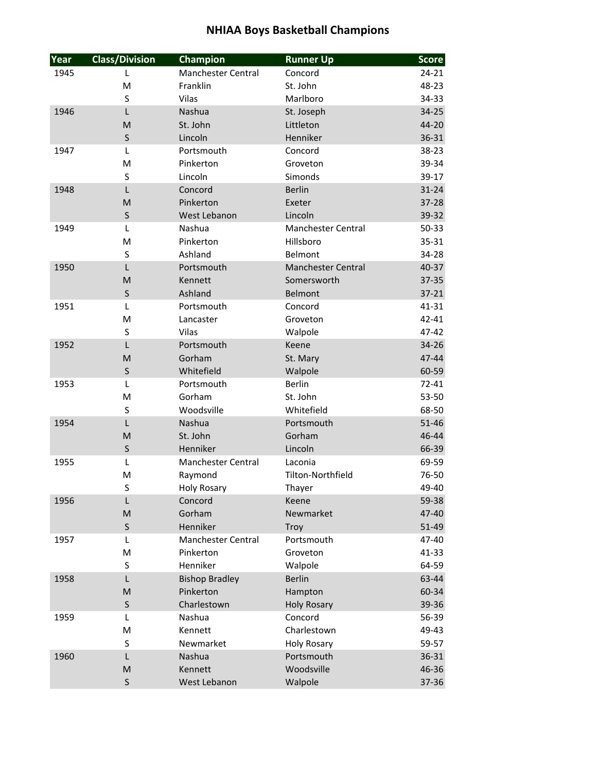| Year | <b>Class/Division</b>                                                                                      | Champion                  | <b>Runner Up</b>          | <b>Score</b> |
|------|------------------------------------------------------------------------------------------------------------|---------------------------|---------------------------|--------------|
| 1945 | L                                                                                                          | <b>Manchester Central</b> | Concord                   | $24 - 21$    |
|      | M                                                                                                          | Franklin                  | St. John                  | 48-23        |
|      | S                                                                                                          | Vilas                     | Marlboro                  | 34-33        |
| 1946 | L                                                                                                          | Nashua                    | St. Joseph                | 34-25        |
|      | M                                                                                                          | St. John                  | Littleton                 | 44-20        |
|      | S                                                                                                          | Lincoln                   | Henniker                  | 36-31        |
| 1947 | L                                                                                                          | Portsmouth                | Concord                   | 38-23        |
|      | M                                                                                                          | Pinkerton                 | Groveton                  | 39-34        |
|      | S                                                                                                          | Lincoln                   | Simonds                   | 39-17        |
| 1948 | L                                                                                                          | Concord                   | <b>Berlin</b>             | $31 - 24$    |
|      | M                                                                                                          | Pinkerton                 | Exeter                    | $37 - 28$    |
|      | $\sf S$                                                                                                    | West Lebanon              | Lincoln                   | 39-32        |
| 1949 | L                                                                                                          | Nashua                    | <b>Manchester Central</b> | 50-33        |
|      | M                                                                                                          | Pinkerton                 | Hillsboro                 | $35 - 31$    |
|      | S                                                                                                          | Ashland                   | Belmont                   | 34-28        |
| 1950 | L                                                                                                          | Portsmouth                | <b>Manchester Central</b> | 40-37        |
|      | M                                                                                                          | Kennett                   | Somersworth               | 37-35        |
|      | $\sf S$                                                                                                    | Ashland                   | Belmont                   | $37 - 21$    |
| 1951 | L                                                                                                          | Portsmouth                | Concord                   | $41 - 31$    |
|      | M                                                                                                          | Lancaster                 | Groveton                  | $42 - 41$    |
|      | S                                                                                                          | Vilas                     | Walpole                   | 47-42        |
| 1952 | L                                                                                                          | Portsmouth                | Keene                     | 34-26        |
|      | M                                                                                                          | Gorham                    | St. Mary                  | 47-44        |
|      | S                                                                                                          | Whitefield                | Walpole                   | 60-59        |
| 1953 | L                                                                                                          | Portsmouth                | <b>Berlin</b>             | $72 - 41$    |
|      | M                                                                                                          | Gorham                    | St. John                  | 53-50        |
|      | S                                                                                                          | Woodsville                | Whitefield                | 68-50        |
| 1954 | L                                                                                                          | Nashua                    | Portsmouth                | $51 - 46$    |
|      | M                                                                                                          | St. John                  | Gorham                    | 46-44        |
|      | $\sf S$                                                                                                    | Henniker                  | Lincoln                   | 66-39        |
| 1955 | L                                                                                                          | <b>Manchester Central</b> | Laconia                   | 69-59        |
|      | M                                                                                                          | Raymond                   | Tilton-Northfield         | 76-50        |
|      | S                                                                                                          | Holy Rosary               | Thayer                    | 49-40        |
| 1956 | L                                                                                                          | Concord                   | Keene                     | 59-38        |
|      | M                                                                                                          | Gorham                    | Newmarket                 | 47-40        |
|      | $\sf S$                                                                                                    | Henniker                  | Troy                      | $51 - 49$    |
| 1957 | L                                                                                                          | Manchester Central        | Portsmouth                | 47-40        |
|      | M                                                                                                          | Pinkerton                 | Groveton                  | $41 - 33$    |
|      | S                                                                                                          | Henniker                  | Walpole                   | 64-59        |
| 1958 | L                                                                                                          | <b>Bishop Bradley</b>     | <b>Berlin</b>             | 63-44        |
|      | $\mathsf{M}% _{T}=\mathsf{M}_{T}\!\left( a,b\right) ,\ \mathsf{M}_{T}=\mathsf{M}_{T}\!\left( a,b\right) ,$ | Pinkerton                 | Hampton                   | 60-34        |
|      | $\sf S$                                                                                                    | Charlestown               | <b>Holy Rosary</b>        | 39-36        |
| 1959 | L                                                                                                          | Nashua                    | Concord                   | 56-39        |
|      | M                                                                                                          | Kennett                   | Charlestown               | 49-43        |
|      | S                                                                                                          | Newmarket                 | <b>Holy Rosary</b>        | 59-57        |
| 1960 | L                                                                                                          | Nashua                    | Portsmouth                | 36-31        |
|      | M                                                                                                          | Kennett                   | Woodsville                | 46-36        |
|      | $\sf S$                                                                                                    | West Lebanon              | Walpole                   | 37-36        |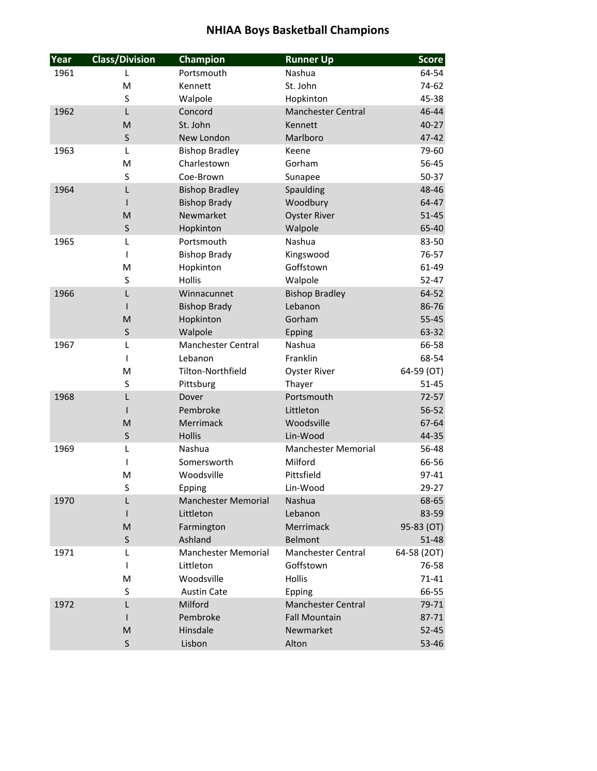| Year | <b>Class/Division</b> | Champion                   | <b>Runner Up</b>           | <b>Score</b> |
|------|-----------------------|----------------------------|----------------------------|--------------|
| 1961 | L                     | Portsmouth                 | Nashua                     | 64-54        |
|      | M                     | Kennett                    | St. John                   | 74-62        |
|      | S                     | Walpole                    | Hopkinton                  | 45-38        |
| 1962 | L                     | Concord                    | <b>Manchester Central</b>  | 46-44        |
|      | M                     | St. John                   | Kennett                    | 40-27        |
|      | $\sf S$               | New London                 | Marlboro                   | 47-42        |
| 1963 | L                     | <b>Bishop Bradley</b>      | Keene                      | 79-60        |
|      | M                     | Charlestown                | Gorham                     | 56-45        |
|      | S                     | Coe-Brown                  | Sunapee                    | 50-37        |
| 1964 | L                     | <b>Bishop Bradley</b>      | Spaulding                  | 48-46        |
|      | T                     | <b>Bishop Brady</b>        | Woodbury                   | 64-47        |
|      | M                     | Newmarket                  | <b>Oyster River</b>        | $51 - 45$    |
|      | $\sf S$               | Hopkinton                  | Walpole                    | 65-40        |
| 1965 | L                     | Portsmouth                 | Nashua                     | 83-50        |
|      | T                     | <b>Bishop Brady</b>        | Kingswood                  | 76-57        |
|      | M                     | Hopkinton                  | Goffstown                  | 61-49        |
|      | S                     | <b>Hollis</b>              | Walpole                    | $52 - 47$    |
| 1966 | L                     | Winnacunnet                | <b>Bishop Bradley</b>      | 64-52        |
|      | ı                     | <b>Bishop Brady</b>        | Lebanon                    | 86-76        |
|      | M                     | Hopkinton                  | Gorham                     | $55 - 45$    |
|      | $\sf S$               | Walpole                    | Epping                     | 63-32        |
| 1967 | L                     | <b>Manchester Central</b>  | Nashua                     | 66-58        |
|      | T                     | Lebanon                    | Franklin                   | 68-54        |
|      | M                     | Tilton-Northfield          | <b>Oyster River</b>        | 64-59 (OT)   |
|      | S                     | Pittsburg                  | Thayer                     | $51 - 45$    |
| 1968 | L                     | Dover                      | Portsmouth                 | $72 - 57$    |
|      | L                     | Pembroke                   | Littleton                  | 56-52        |
|      | M                     | Merrimack                  | Woodsville                 | 67-64        |
|      | $\sf S$               | Hollis                     | Lin-Wood                   | 44-35        |
| 1969 | L                     | Nashua                     | <b>Manchester Memorial</b> | 56-48        |
|      | T                     | Somersworth                | Milford                    | 66-56        |
|      | M                     | Woodsville                 | Pittsfield                 | 97-41        |
|      | S                     | Epping                     | Lin-Wood                   | 29-27        |
| 1970 | L                     | <b>Manchester Memorial</b> | Nashua                     | 68-65        |
|      |                       | Littleton                  | Lebanon                    | 83-59        |
|      | M                     | Farmington                 | Merrimack                  | 95-83 (OT)   |
|      | $\sf S$               | Ashland                    | Belmont                    | 51-48        |
| 1971 | L                     | <b>Manchester Memorial</b> | <b>Manchester Central</b>  | 64-58 (2OT)  |
|      | T                     | Littleton                  | Goffstown                  | 76-58        |
|      | M                     | Woodsville                 | Hollis                     | $71 - 41$    |
|      | S                     | <b>Austin Cate</b>         | Epping                     | 66-55        |
| 1972 | L                     | Milford                    | <b>Manchester Central</b>  | 79-71        |
|      | I                     | Pembroke                   | <b>Fall Mountain</b>       | 87-71        |
|      | M                     | Hinsdale                   | Newmarket                  | $52 - 45$    |
|      | $\sf S$               | Lisbon                     | Alton                      | 53-46        |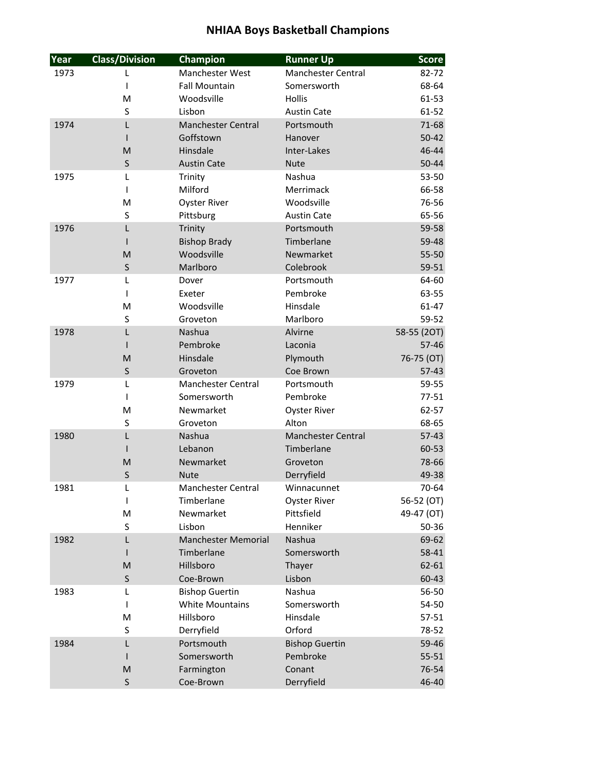| Year | <b>Class/Division</b> | Champion                   | <b>Runner Up</b>          | <b>Score</b> |
|------|-----------------------|----------------------------|---------------------------|--------------|
| 1973 | L                     | Manchester West            | <b>Manchester Central</b> | 82-72        |
|      | I                     | <b>Fall Mountain</b>       | Somersworth               | 68-64        |
|      | M                     | Woodsville                 | <b>Hollis</b>             | 61-53        |
|      | S                     | Lisbon                     | <b>Austin Cate</b>        | 61-52        |
| 1974 | L                     | <b>Manchester Central</b>  | Portsmouth                | 71-68        |
|      |                       | Goffstown                  | Hanover                   | $50 - 42$    |
|      | M                     | Hinsdale                   | Inter-Lakes               | 46-44        |
|      | $\sf S$               | <b>Austin Cate</b>         | <b>Nute</b>               | 50-44        |
| 1975 | L                     | Trinity                    | Nashua                    | 53-50        |
|      | I                     | Milford                    | Merrimack                 | 66-58        |
|      | M                     | <b>Oyster River</b>        | Woodsville                | 76-56        |
|      | S                     | Pittsburg                  | <b>Austin Cate</b>        | 65-56        |
| 1976 | L                     | Trinity                    | Portsmouth                | 59-58        |
|      |                       | <b>Bishop Brady</b>        | Timberlane                | 59-48        |
|      | M                     | Woodsville                 | Newmarket                 | 55-50        |
|      | $\sf S$               | Marlboro                   | Colebrook                 | 59-51        |
| 1977 | L                     | Dover                      | Portsmouth                | 64-60        |
|      | ı                     | Exeter                     | Pembroke                  | 63-55        |
|      | M                     | Woodsville                 | Hinsdale                  | $61 - 47$    |
|      | S                     | Groveton                   | Marlboro                  | 59-52        |
| 1978 | L                     | <b>Nashua</b>              | Alvirne                   | 58-55 (2OT)  |
|      | ı                     | Pembroke                   | Laconia                   | $57 - 46$    |
|      | M                     | Hinsdale                   | Plymouth                  | 76-75 (OT)   |
|      | $\sf S$               | Groveton                   | Coe Brown                 | $57-43$      |
| 1979 | L                     | <b>Manchester Central</b>  | Portsmouth                | 59-55        |
|      | I                     | Somersworth                | Pembroke                  | $77 - 51$    |
|      | M                     | Newmarket                  | <b>Oyster River</b>       | 62-57        |
|      | S                     | Groveton                   | Alton                     | 68-65        |
| 1980 | L                     | Nashua                     | <b>Manchester Central</b> | $57-43$      |
|      |                       | Lebanon                    | Timberlane                | 60-53        |
|      | M                     | Newmarket                  | Groveton                  | 78-66        |
|      | $\sf S$               | <b>Nute</b>                | Derryfield                | 49-38        |
| 1981 | I                     | Manchester Central         | Winnacunnet               | 70-64        |
|      | T                     | Timberlane                 | <b>Oyster River</b>       | 56-52 (OT)   |
|      | M                     | Newmarket                  | Pittsfield                | 49-47 (OT)   |
|      | S                     | Lisbon                     | Henniker                  | 50-36        |
| 1982 | L                     | <b>Manchester Memorial</b> | Nashua                    | 69-62        |
|      |                       | Timberlane                 | Somersworth               | 58-41        |
|      | M                     | Hillsboro                  | Thayer                    | $62 - 61$    |
|      | S                     | Coe-Brown                  | Lisbon                    | 60-43        |
| 1983 | L                     | <b>Bishop Guertin</b>      | Nashua                    | 56-50        |
|      | I                     | <b>White Mountains</b>     | Somersworth               | 54-50        |
|      | M                     | Hillsboro                  | Hinsdale                  | $57 - 51$    |
|      | S                     | Derryfield                 | Orford                    | 78-52        |
| 1984 | L                     | Portsmouth                 | <b>Bishop Guertin</b>     | 59-46        |
|      |                       | Somersworth                | Pembroke                  | $55 - 51$    |
|      | M                     | Farmington                 | Conant                    | 76-54        |
|      | $\sf S$               | Coe-Brown                  | Derryfield                | 46-40        |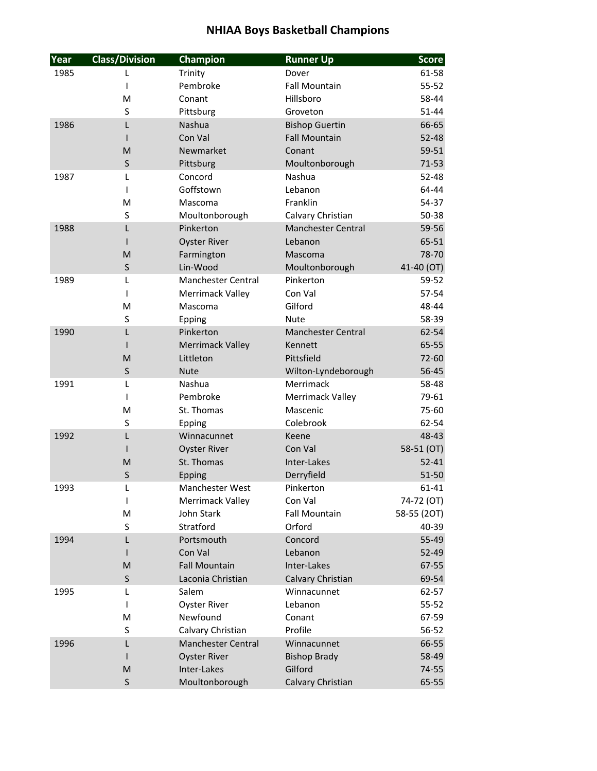| Year | <b>Class/Division</b> | Champion                  | <b>Runner Up</b>          | <b>Score</b> |
|------|-----------------------|---------------------------|---------------------------|--------------|
| 1985 | L                     | Trinity                   | Dover                     | 61-58        |
|      | T                     | Pembroke                  | <b>Fall Mountain</b>      | $55 - 52$    |
|      | M                     | Conant                    | Hillsboro                 | 58-44        |
|      | S                     | Pittsburg                 | Groveton                  | 51-44        |
| 1986 | L                     | Nashua                    | <b>Bishop Guertin</b>     | 66-65        |
|      |                       | Con Val                   | <b>Fall Mountain</b>      | $52 - 48$    |
|      | M                     | Newmarket                 | Conant                    | $59 - 51$    |
|      | $\sf S$               | Pittsburg                 | Moultonborough            | $71 - 53$    |
| 1987 | L                     | Concord                   | Nashua                    | $52 - 48$    |
|      | T                     | Goffstown                 | Lebanon                   | 64-44        |
|      | M                     | Mascoma                   | Franklin                  | 54-37        |
|      | $\sf S$               | Moultonborough            | Calvary Christian         | 50-38        |
| 1988 | L                     | Pinkerton                 | <b>Manchester Central</b> | 59-56        |
|      | L                     | <b>Oyster River</b>       | Lebanon                   | 65-51        |
|      | M                     | Farmington                | Mascoma                   | 78-70        |
|      | $\sf S$               | Lin-Wood                  | Moultonborough            | 41-40 (OT)   |
| 1989 | L                     | <b>Manchester Central</b> | Pinkerton                 | 59-52        |
|      | T                     | Merrimack Valley          | Con Val                   | 57-54        |
|      | M                     | Mascoma                   | Gilford                   | 48-44        |
|      | $\sf S$               | Epping                    | <b>Nute</b>               | 58-39        |
| 1990 | L                     | Pinkerton                 | <b>Manchester Central</b> | 62-54        |
|      |                       | <b>Merrimack Valley</b>   | Kennett                   | $65 - 55$    |
|      | M                     | Littleton                 | Pittsfield                | 72-60        |
|      | $\sf S$               | <b>Nute</b>               | Wilton-Lyndeborough       | 56-45        |
| 1991 | L                     | Nashua                    | Merrimack                 | 58-48        |
|      | T                     | Pembroke                  | Merrimack Valley          | 79-61        |
|      | M                     | St. Thomas                | Mascenic                  | 75-60        |
|      | S                     | Epping                    | Colebrook                 | 62-54        |
| 1992 | L                     | Winnacunnet               | Keene                     | 48-43        |
|      | I                     | <b>Oyster River</b>       | Con Val                   | 58-51 (OT)   |
|      | M                     | St. Thomas                | Inter-Lakes               | $52 - 41$    |
|      | S                     | Epping                    | Derryfield                | 51-50        |
| 1993 | L                     | <b>Manchester West</b>    | Pinkerton                 | 61-41        |
|      | T                     | Merrimack Valley          | Con Val                   | 74-72 (OT)   |
|      | M                     | John Stark                | <b>Fall Mountain</b>      | 58-55 (2OT)  |
|      | S                     | Stratford                 | Orford                    | 40-39        |
| 1994 | L                     | Portsmouth                | Concord                   | 55-49        |
|      |                       | Con Val                   | Lebanon                   | 52-49        |
|      | M                     | <b>Fall Mountain</b>      | Inter-Lakes               | 67-55        |
|      | $\sf S$               | Laconia Christian         | Calvary Christian         | 69-54        |
| 1995 | L                     | Salem                     | Winnacunnet               | 62-57        |
|      | L                     | <b>Oyster River</b>       | Lebanon                   | $55 - 52$    |
|      | M                     | Newfound                  | Conant                    | 67-59        |
|      | S                     | Calvary Christian         | Profile                   | 56-52        |
| 1996 | L                     | <b>Manchester Central</b> | Winnacunnet               | 66-55        |
|      | L                     | <b>Oyster River</b>       | <b>Bishop Brady</b>       | 58-49        |
|      | M                     | Inter-Lakes               | Gilford                   | 74-55        |
|      | $\sf S$               | Moultonborough            | Calvary Christian         | 65-55        |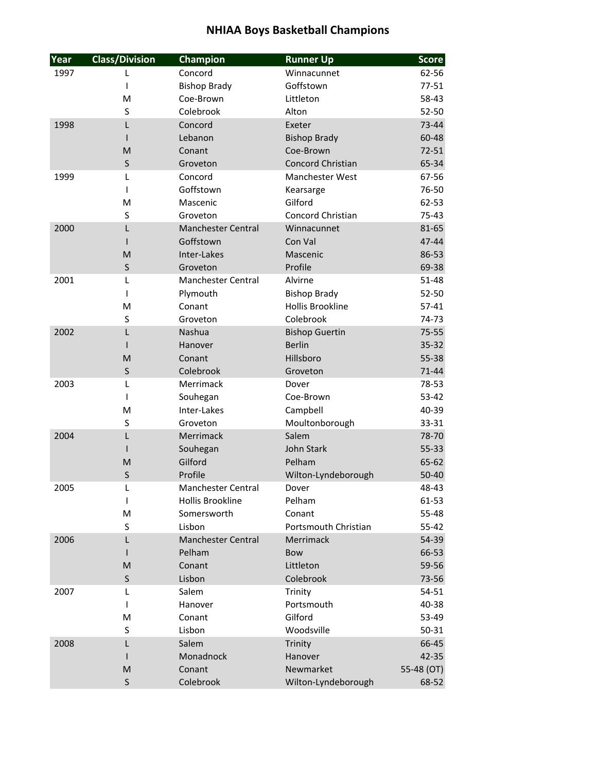| Year | <b>Class/Division</b>                                                                                      | Champion                  | <b>Runner Up</b>        | <b>Score</b> |
|------|------------------------------------------------------------------------------------------------------------|---------------------------|-------------------------|--------------|
| 1997 | L                                                                                                          | Concord                   | Winnacunnet             | 62-56        |
|      | T                                                                                                          | <b>Bishop Brady</b>       | Goffstown               | $77 - 51$    |
|      | M                                                                                                          | Coe-Brown                 | Littleton               | 58-43        |
|      | S                                                                                                          | Colebrook                 | Alton                   | 52-50        |
| 1998 | L                                                                                                          | Concord                   | Exeter                  | 73-44        |
|      |                                                                                                            | Lebanon                   | <b>Bishop Brady</b>     | 60-48        |
|      | M                                                                                                          | Conant                    | Coe-Brown               | $72 - 51$    |
|      | $\sf S$                                                                                                    | Groveton                  | Concord Christian       | 65-34        |
| 1999 | L                                                                                                          | Concord                   | Manchester West         | 67-56        |
|      | T                                                                                                          | Goffstown                 | Kearsarge               | 76-50        |
|      | M                                                                                                          | Mascenic                  | Gilford                 | 62-53        |
|      | $\sf S$                                                                                                    | Groveton                  | Concord Christian       | $75 - 43$    |
| 2000 | L                                                                                                          | <b>Manchester Central</b> | Winnacunnet             | 81-65        |
|      | L                                                                                                          | Goffstown                 | Con Val                 | 47-44        |
|      | M                                                                                                          | Inter-Lakes               | Mascenic                | 86-53        |
|      | $\sf S$                                                                                                    | Groveton                  | Profile                 | 69-38        |
| 2001 | L                                                                                                          | <b>Manchester Central</b> | Alvirne                 | $51 - 48$    |
|      | T                                                                                                          | Plymouth                  | <b>Bishop Brady</b>     | 52-50        |
|      | M                                                                                                          | Conant                    | <b>Hollis Brookline</b> | $57 - 41$    |
|      | S                                                                                                          | Groveton                  | Colebrook               | 74-73        |
| 2002 | L                                                                                                          | Nashua                    | <b>Bishop Guertin</b>   | $75 - 55$    |
|      |                                                                                                            | Hanover                   | <b>Berlin</b>           | $35 - 32$    |
|      | M                                                                                                          | Conant                    | Hillsboro               | 55-38        |
|      | $\sf S$                                                                                                    | Colebrook                 | Groveton                | $71 - 44$    |
| 2003 | L                                                                                                          | Merrimack                 | Dover                   | 78-53        |
|      | T                                                                                                          | Souhegan                  | Coe-Brown               | 53-42        |
|      | M                                                                                                          | Inter-Lakes               | Campbell                | 40-39        |
|      | S                                                                                                          | Groveton                  | Moultonborough          | 33-31        |
| 2004 | L                                                                                                          | Merrimack                 | Salem                   | 78-70        |
|      | ı                                                                                                          | Souhegan                  | John Stark              | 55-33        |
|      | M                                                                                                          | Gilford                   | Pelham                  | 65-62        |
|      | S                                                                                                          | Profile                   | Wilton-Lyndeborough     | 50-40        |
| 2005 | L                                                                                                          | Manchester Central        | Dover                   | 48-43        |
|      | T                                                                                                          | Hollis Brookline          | Pelham                  | 61-53        |
|      | M                                                                                                          | Somersworth               | Conant                  | 55-48        |
|      | S                                                                                                          | Lisbon                    | Portsmouth Christian    | $55 - 42$    |
| 2006 | L                                                                                                          | <b>Manchester Central</b> | Merrimack               | 54-39        |
|      | I                                                                                                          | Pelham                    | Bow                     | 66-53        |
|      | M                                                                                                          | Conant                    | Littleton               | 59-56        |
|      | S                                                                                                          | Lisbon                    | Colebrook               | 73-56        |
| 2007 | L                                                                                                          | Salem                     | Trinity                 | 54-51        |
|      | L                                                                                                          | Hanover                   | Portsmouth              | 40-38        |
|      | M                                                                                                          | Conant                    | Gilford                 | 53-49        |
|      | S                                                                                                          | Lisbon                    | Woodsville              | $50 - 31$    |
| 2008 | L                                                                                                          | Salem                     | Trinity                 | 66-45        |
|      | Ш                                                                                                          | Monadnock                 | Hanover                 | 42-35        |
|      | $\mathsf{M}% _{T}=\mathsf{M}_{T}\!\left( a,b\right) ,\ \mathsf{M}_{T}=\mathsf{M}_{T}\!\left( a,b\right) ,$ | Conant                    | Newmarket               | 55-48 (OT)   |
|      | S                                                                                                          | Colebrook                 | Wilton-Lyndeborough     | 68-52        |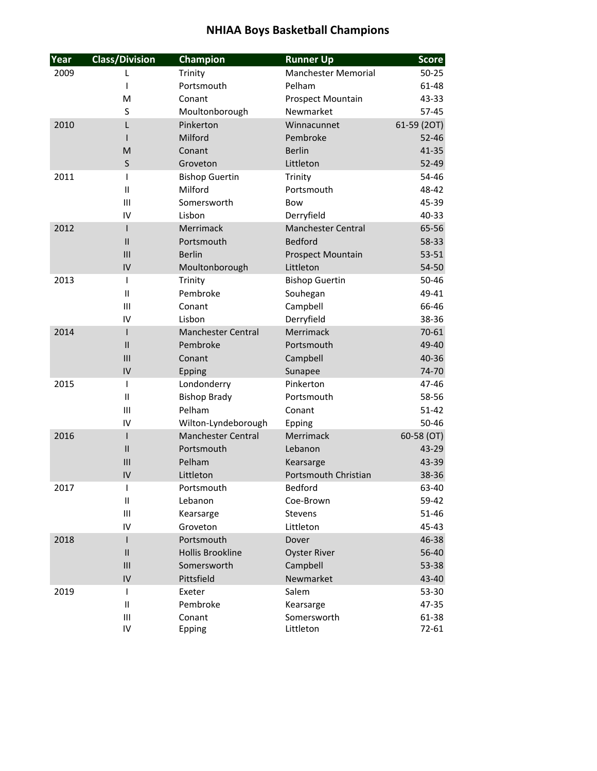| Year | <b>Class/Division</b>    | <b>Champion</b>           | <b>Runner Up</b>           | <b>Score</b> |
|------|--------------------------|---------------------------|----------------------------|--------------|
| 2009 | L                        | Trinity                   | <b>Manchester Memorial</b> | $50 - 25$    |
|      | I                        | Portsmouth                | Pelham                     | 61-48        |
|      | M                        | Conant                    | Prospect Mountain          | 43-33        |
|      | S                        | Moultonborough            | Newmarket                  | 57-45        |
| 2010 | L                        | Pinkerton                 | Winnacunnet                | 61-59 (2OT)  |
|      |                          | Milford                   | Pembroke                   | $52 - 46$    |
|      | M                        | Conant                    | <b>Berlin</b>              | $41 - 35$    |
|      | $\sf S$                  | Groveton                  | Littleton                  | $52 - 49$    |
| 2011 | T                        | <b>Bishop Guertin</b>     | Trinity                    | 54-46        |
|      | $\mathbf{II}$            | Milford                   | Portsmouth                 | 48-42        |
|      | III                      | Somersworth               | <b>Bow</b>                 | 45-39        |
|      | IV                       | Lisbon                    | Derryfield                 | 40-33        |
| 2012 | I                        | Merrimack                 | <b>Manchester Central</b>  | 65-56        |
|      | $\mathsf{II}$            | Portsmouth                | Bedford                    | 58-33        |
|      | III                      | <b>Berlin</b>             | <b>Prospect Mountain</b>   | $53 - 51$    |
|      | IV                       | Moultonborough            | Littleton                  | 54-50        |
| 2013 | T                        | Trinity                   | <b>Bishop Guertin</b>      | 50-46        |
|      | $\mathbf{I}$             | Pembroke                  | Souhegan                   | 49-41        |
|      | Ш                        | Conant                    | Campbell                   | 66-46        |
|      | IV                       | Lisbon                    | Derryfield                 | 38-36        |
| 2014 | I                        | <b>Manchester Central</b> | Merrimack                  | $70 - 61$    |
|      | $\mathbf{I}$             | Pembroke                  | Portsmouth                 | 49-40        |
|      | III                      | Conant                    | Campbell                   | 40-36        |
|      | IV                       | Epping                    | Sunapee                    | 74-70        |
| 2015 | T                        | Londonderry               | Pinkerton                  | 47-46        |
|      | $\mathbf{II}$            | <b>Bishop Brady</b>       | Portsmouth                 | 58-56        |
|      | Ш                        | Pelham                    | Conant                     | $51 - 42$    |
|      | IV                       | Wilton-Lyndeborough       | Epping                     | 50-46        |
| 2016 | $\overline{\phantom{a}}$ | <b>Manchester Central</b> | Merrimack                  | 60-58 (OT)   |
|      | $\sf II$                 | Portsmouth                | Lebanon                    | 43-29        |
|      | III                      | Pelham                    | Kearsarge                  | 43-39        |
|      | IV                       | Littleton                 | Portsmouth Christian       | 38-36        |
| 2017 | T                        | Portsmouth                | Bedford                    | 63-40        |
|      | $\mathsf{I}\mathsf{I}$   | Lebanon                   | Coe-Brown                  | 59-42        |
|      | Ш                        | Kearsarge                 | Stevens                    | 51-46        |
|      | IV                       | Groveton                  | Littleton                  | 45-43        |
| 2018 | $\mathsf{I}$             | Portsmouth                | Dover                      | 46-38        |
|      | $\mathsf{I}\mathsf{I}$   | <b>Hollis Brookline</b>   | <b>Oyster River</b>        | 56-40        |
|      | $\mathbf{III}$           | Somersworth               | Campbell                   | 53-38        |
|      | IV                       | Pittsfield                | Newmarket                  | 43-40        |
| 2019 | L                        | Exeter                    | Salem                      | 53-30        |
|      | $\mathbf \mathsf I$      | Pembroke                  | Kearsarge                  | 47-35        |
|      | Ш                        | Conant                    | Somersworth                | 61-38        |
|      | IV                       | Epping                    | Littleton                  | $72 - 61$    |